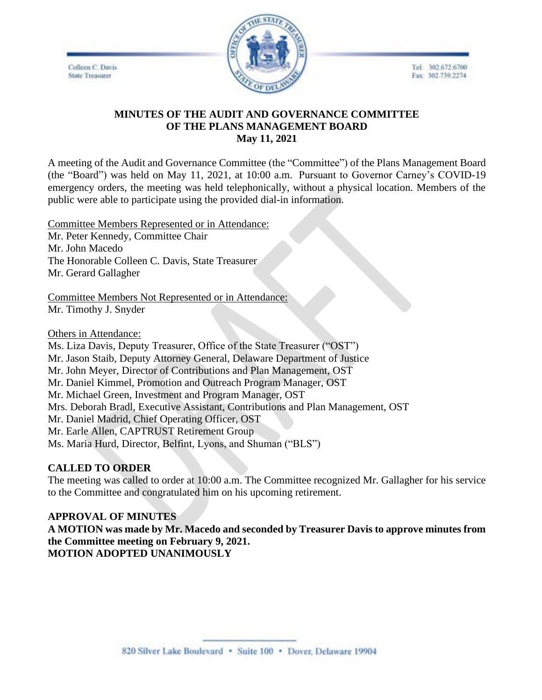Colleen C. Davis **State Treasurer** 



Tel: 302.672.6700 Fax: 302.739.2274

## **MINUTES OF THE AUDIT AND GOVERNANCE COMMITTEE OF THE PLANS MANAGEMENT BOARD May 11, 2021**

A meeting of the Audit and Governance Committee (the "Committee") of the Plans Management Board (the "Board") was held on May 11, 2021, at 10:00 a.m. Pursuant to Governor Carney's COVID-19 emergency orders, the meeting was held telephonically, without a physical location. Members of the public were able to participate using the provided dial-in information.

Committee Members Represented or in Attendance: Mr. Peter Kennedy, Committee Chair Mr. John Macedo The Honorable Colleen C. Davis, State Treasurer Mr. Gerard Gallagher

Committee Members Not Represented or in Attendance: Mr. Timothy J. Snyder

Others in Attendance:

Ms. Liza Davis, Deputy Treasurer, Office of the State Treasurer ("OST") Mr. Jason Staib, Deputy Attorney General, Delaware Department of Justice Mr. John Meyer, Director of Contributions and Plan Management, OST Mr. Daniel Kimmel, Promotion and Outreach Program Manager, OST Mr. Michael Green, Investment and Program Manager, OST Mrs. Deborah Bradl, Executive Assistant, Contributions and Plan Management, OST Mr. Daniel Madrid, Chief Operating Officer, OST Mr. Earle Allen, CAPTRUST Retirement Group Ms. Maria Hurd, Director, Belfint, Lyons, and Shuman ("BLS")

## **CALLED TO ORDER**

The meeting was called to order at 10:00 a.m. The Committee recognized Mr. Gallagher for his service to the Committee and congratulated him on his upcoming retirement.

## **APPROVAL OF MINUTES**

**A MOTION was made by Mr. Macedo and seconded by Treasurer Davis to approve minutes from the Committee meeting on February 9, 2021. MOTION ADOPTED UNANIMOUSLY**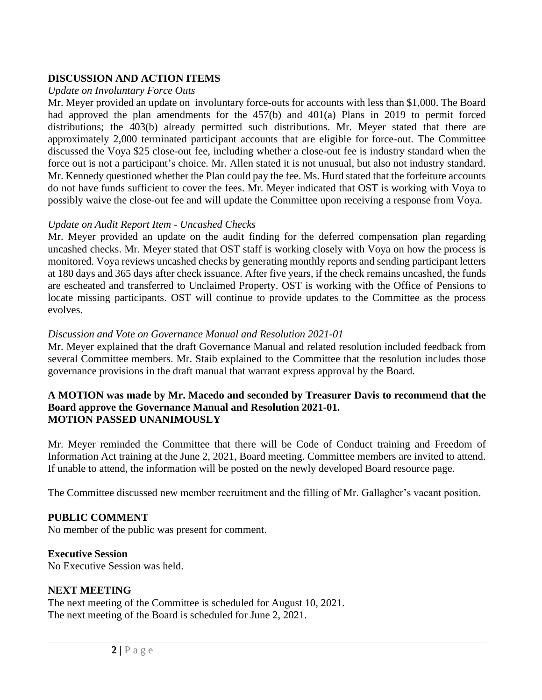# **DISCUSSION AND ACTION ITEMS**

#### *Update on Involuntary Force Outs*

Mr. Meyer provided an update on involuntary force-outs for accounts with less than \$1,000. The Board had approved the plan amendments for the 457(b) and 401(a) Plans in 2019 to permit forced distributions; the 403(b) already permitted such distributions. Mr. Meyer stated that there are approximately 2,000 terminated participant accounts that are eligible for force-out. The Committee discussed the Voya \$25 close-out fee, including whether a close-out fee is industry standard when the force out is not a participant's choice. Mr. Allen stated it is not unusual, but also not industry standard. Mr. Kennedy questioned whether the Plan could pay the fee. Ms. Hurd stated that the forfeiture accounts do not have funds sufficient to cover the fees. Mr. Meyer indicated that OST is working with Voya to possibly waive the close-out fee and will update the Committee upon receiving a response from Voya.

## *Update on Audit Report Item - Uncashed Checks*

Mr. Meyer provided an update on the audit finding for the deferred compensation plan regarding uncashed checks. Mr. Meyer stated that OST staff is working closely with Voya on how the process is monitored. Voya reviews uncashed checks by generating monthly reports and sending participant letters at 180 days and 365 days after check issuance. After five years, if the check remains uncashed, the funds are escheated and transferred to Unclaimed Property. OST is working with the Office of Pensions to locate missing participants. OST will continue to provide updates to the Committee as the process evolves.

## *Discussion and Vote on Governance Manual and Resolution 2021-01*

Mr. Meyer explained that the draft Governance Manual and related resolution included feedback from several Committee members. Mr. Staib explained to the Committee that the resolution includes those governance provisions in the draft manual that warrant express approval by the Board.

#### **A MOTION was made by Mr. Macedo and seconded by Treasurer Davis to recommend that the Board approve the Governance Manual and Resolution 2021-01. MOTION PASSED UNANIMOUSLY**

Mr. Meyer reminded the Committee that there will be Code of Conduct training and Freedom of Information Act training at the June 2, 2021, Board meeting. Committee members are invited to attend. If unable to attend, the information will be posted on the newly developed Board resource page.

The Committee discussed new member recruitment and the filling of Mr. Gallagher's vacant position.

## **PUBLIC COMMENT**

No member of the public was present for comment.

## **Executive Session**

No Executive Session was held.

## **NEXT MEETING**

The next meeting of the Committee is scheduled for August 10, 2021. The next meeting of the Board is scheduled for June 2, 2021.